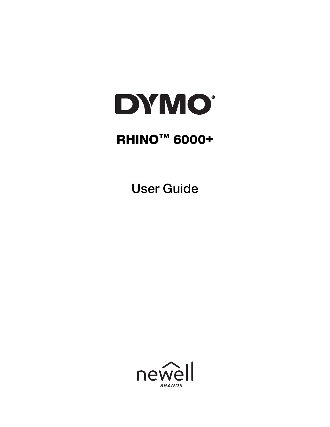

# RHINO™ 6000+

User Guide

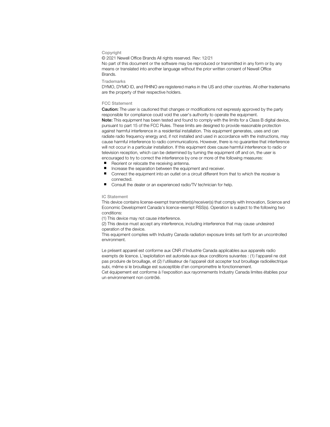#### Copyright

© 2021 Newell Office Brands All rights reserved. Rev: 12/21 No part of this document or the software may be reproduced or transmitted in any form or by any means or translated into another language without the prior written consent of Newell Office Brands.

#### **Trademarks**

DYMO, DYMO ID, and RHINO are registered marks in the US and other countries. All other trademarks are the property of their respective holders.

#### FCC Statement

Caution: The user is cautioned that changes or modifications not expressly approved by the party responsible for compliance could void the user's authority to operate the equipment. Note: This equipment has been tested and found to comply with the limits for a Class B digital device, pursuant to part 15 of the FCC Rules. These limits are designed to provide reasonable protection against harmful interference in a residential installation. This equipment generates, uses and can radiate radio frequency energy and, if not installed and used in accordance with the instructions, may cause harmful interference to radio communications. However, there is no guarantee that interference will not occur in a particular installation. If this equipment does cause harmful interference to radio or television reception, which can be determined by turning the equipment off and on, the user is encouraged to try to correct the interference by one or more of the following measures:

- Reorient or relocate the receiving antenna.
- Increase the separation between the equipment and receiver.
- **Connect the equipment into an outlet on a circuit different from that to which the receiver is** connected.
- Consult the dealer or an experienced radio/TV technician for help.

#### IC Statement

This device contains license-exempt transmitter(s)/receiver(s) that comply with Innovation, Science and Economic Development Canada's licence-exempt RSS(s). Operation is subject to the following two conditions:

(1) This device may not cause interference.

(2) This device must accept any interference, including interference that may cause undesired operation of the device.

This equipment complies with Industry Canada radiation exposure limits set forth for an uncontrolled environment.

Le présent appareil est conforme aux CNR d'Industrie Canada applicables aux appareils radio exempts de licence. L'exploitation est autorisée aux deux conditions suivantes : (1) l'appareil ne doit pas produire de brouillage, et (2) l'utilisateur de l'appareil doit accepter tout brouillage radioélectrique subi, même si le brouillage est susceptible d'en compromettre le fonctionnement.

Cet équipement est conforme à l'exposition aux rayonnements Industry Canada limites établies pour un environnement non contrôlé.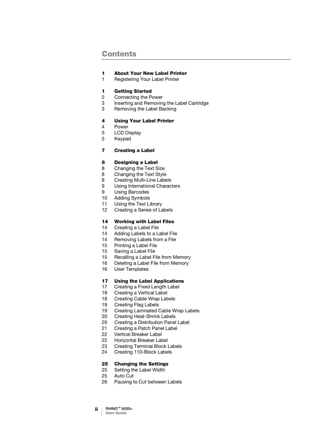### **Contents**

#### [About Your New Label Printer](#page-4-0)

[Registering Your Label Printer](#page-4-1)

#### [Getting Started](#page-4-2)

- [Connecting the Power](#page-5-0)
- [Inserting and Removing the Label Cartridge](#page-6-0)
- [Removing the Label Backing](#page-6-1)

#### [Using Your Label Printer](#page-7-0)

- [Power](#page-7-1)
- [LCD Display](#page-8-0)
- [Keypad](#page-8-1)

### [Creating a Label](#page-10-0)

#### [Designing a Label](#page-11-0)

- [Changing the Text Size](#page-11-1)
- [Changing the Text Style](#page-11-2)
- [Creating Multi-Line Labels](#page-11-3)
- [Using International Characters](#page-12-0)
- [Using Barcodes](#page-12-1)
- [Adding Symbols](#page-13-0)
- [Using the Text Library](#page-14-0)
- [Creating a Series of Labels](#page-15-0)

#### [Working with Label Files](#page-17-0)

- [Creating a Label File](#page-17-1)
- [Adding Labels to a Label File](#page-17-2)
- [Removing Labels from a File](#page-17-3)
- [Printing a Label File](#page-18-0)
- [Saving a Label File](#page-18-1)
- [Recalling a Label File from Memory](#page-18-2)
- [Deleting a Label File from Memory](#page-19-0)
- [User Templates](#page-19-1)

#### [Using the Label Applications](#page-20-0)

- [Creating a Fixed Length Label](#page-20-1)
- [Creating a Vertical Label](#page-21-0)
- [Creating Cable Wrap Labels](#page-21-1)
- [Creating Flag Labels](#page-22-0)
- [Creating Laminated Cable Wrap Labels](#page-22-1)
- [Creating Heat-Shrink Labels](#page-23-0)
- [Creating a Distribution Panel Label](#page-23-1)
- [Creating a Patch Panel Label](#page-24-0)
- [Vertical Breaker Label](#page-25-0)
- [Horizontal Breaker Label](#page-25-1)
- [Creating Terminal Block Labels](#page-26-0)
- [Creating 110-Block Labels](#page-27-0)

#### [Changing the Settings](#page-28-0)

- [Setting the Label Width](#page-28-1)
- [Auto Cut](#page-28-2)
- [Pausing to Cut between Labels](#page-29-0)
- ii | RHINO™ 6000+ User Guide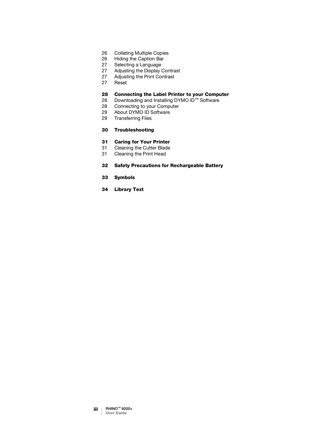- [Collating Multiple Copies](#page-29-1)
- [Hiding the Caption Bar](#page-29-2)
- [Selecting a Language](#page-30-0)
- [Adjusting the Display Contrast](#page-30-1)<br>27 Adjusting the Print Contrast
- [Adjusting the Print Contrast](#page-30-2)
- [Reset](#page-30-3)

# **28 [Connecting the Label Printer to your Computer](#page-31-0)** Downloading and Installing DYMO ID™ Software

- [Downloading and Installing DYMO ID](#page-31-1)™ Software
- [Connecting to your Computer](#page-31-2)
- [About DYMO ID Software](#page-32-0)
- [Transferring Files](#page-32-1)

#### [Troubleshooting](#page-33-0)

### [Caring for Your Printer](#page-34-0)

- [Cleaning the Cutter Blade](#page-34-1)
- [Cleaning the Print Head](#page-34-2)

#### [Safety Precautions for Rechargeable Battery](#page-35-0)

- [Symbols](#page-36-0)
- [Library Text](#page-37-0)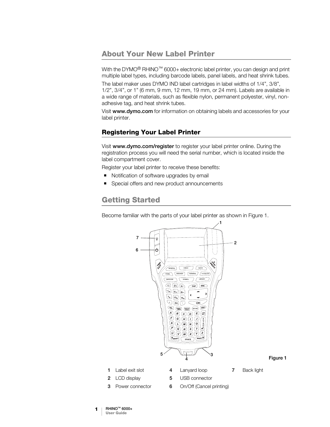### <span id="page-4-0"></span>About Your New Label Printer

With the DYMO<sup>®</sup> RHINO<sup>™</sup> 6000+ electronic label printer, you can design and print multiple label types, including barcode labels, panel labels, and heat shrink tubes.

The label maker uses DYMO IND label cartridges in label widths of 1/4", 3/8", 1/2", 3/4", or 1" (6 mm, 9 mm, 12 mm, 19 mm, or 24 mm). Labels are available in a wide range of materials, such as flexible nylon, permanent polyester, vinyl, nonadhesive tag, and heat shrink tubes.

Visit [www.dymo.com](http://www.dymo.com) for information on obtaining labels and accessories for your label printer.

### <span id="page-4-1"></span>Registering Your Label Printer

Visit [www.dymo.com/register](http://www.dymo.com/register) to register your label printer online. During the registration process you will need the serial number, which is located inside the label compartment cover.

Register your label printer to receive these benefits:

- Notification of software upgrades by email
- Special offers and new product announcements

# <span id="page-4-2"></span>Getting Started

Become familiar with the parts of your label printer as shown in [Figure 1.](#page-4-3)



<span id="page-4-3"></span>Figure 1

- 
- 
- 
- 1 | RHINO™ 6000+ User Guide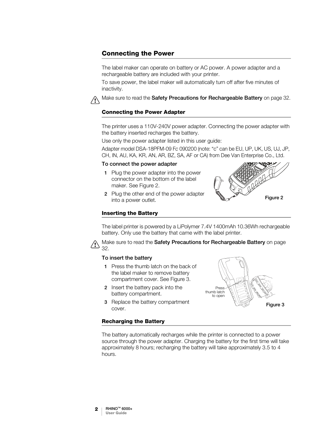### <span id="page-5-0"></span>Connecting the Power

The label maker can operate on battery or AC power. A power adapter and a rechargeable battery are included with your printer.

To save power, the label maker will automatically turn off after five minutes of inactivity.

Make sure to read the [Safety Precautions for Rechargeable Battery](#page-35-1) on page 32.  $\bigwedge$ 

### Connecting the Power Adapter

The printer uses a 110V-240V power adapter. Connecting the power adapter with the battery inserted recharges the battery.

Use only the power adapter listed in this user guide:

Adapter model DSA-18PFM-09 Fc 090200 (note: "c" can be EU, UP, UK, US, UJ, JP, CH, IN, AU, KA, KR, AN, AR, BZ, SA, AF or CA) from Dee Van Enterprise Co., Ltd.

#### To connect the power adapter

1 Plug the power adapter into the power connector on the bottom of the label maker. See [Figure 2.](#page-5-1)

<span id="page-5-1"></span>

2 Plug the other end of the power adapter into a power outlet.

### Inserting the Battery

The label printer is powered by a LiPolymer 7.4V 1400mAh 10.36Wh rechargeable battery. Only use the battery that came with the label printer.

Make sure to read the [Safety Precautions for Rechargeable Battery](#page-35-1) on page [32](#page-35-1).

#### To insert the battery

- 1 Press the thumb latch on the back of the label maker to remove battery compartment cover. See [Figure 3](#page-5-2).
- 2 Insert the battery pack into the battery compartment.
- **3** Replace the battery compartment cover.

<span id="page-5-2"></span>

#### <span id="page-5-3"></span>Recharging the Battery

The battery automatically recharges while the printer is connected to a power source through the power adapter. Charging the battery for the first time will take approximately 8 hours; recharging the battery will take approximately 3.5 to 4 hours.

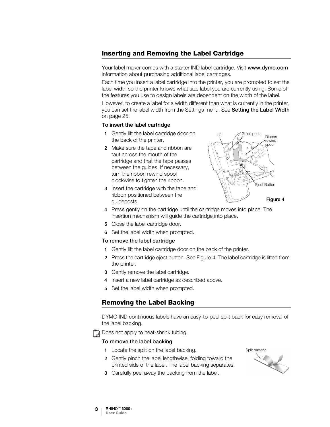### <span id="page-6-3"></span><span id="page-6-0"></span>Inserting and Removing the Label Cartridge

Your label maker comes with a starter IND label cartridge. Visit [www.dymo.com](http://www.dymo.com) information about purchasing additional label cartridges.

Each time you insert a label cartridge into the printer, you are prompted to set the label width so the printer knows what size label you are currently using. Some of the features you use to design labels are dependent on the width of the label.

However, to create a label for a width different than what is currently in the printer, you can set the label width from the Settings menu. See [Setting the Label Width](#page-28-3) [on page 25](#page-28-3).

### To insert the label cartridge

- 1 Gently lift the label cartridge door on the back of the printer.
- 2 Make sure the tape and ribbon are taut across the mouth of the cartridge and that the tape passes between the guides. If necessary, turn the ribbon rewind spool clockwise to tighten the ribbon.
- 3 Insert the cartridge with the tape and ribbon positioned between the guideposts.

<span id="page-6-2"></span>

- 4 Press gently on the cartridge until the cartridge moves into place. The insertion mechanism will guide the cartridge into place.
- 5 Close the label cartridge door.
- 6 Set the label width when prompted.

#### To remove the label cartridge

- 1 Gently lift the label cartridge door on the back of the printer.
- 2 Press the cartridge eject button. See [Figure](#page-6-2) 4. The label cartridge is lifted from the printer.
- 3 Gently remove the label cartridge.
- 4 Insert a new label cartridge as described above.
- 5 Set the label width when prompted.

### <span id="page-6-1"></span>Removing the Label Backing

DYMO IND continuous labels have an easy-to-peel split back for easy removal of the label backing.

Does not apply to heat-shrink tubing.

### To remove the label backing

- 1 Locate the split on the label backing.
- 2 Gently pinch the label lengthwise, folding toward the printed side of the label. The label backing separates.
- Split backing
- 3 Carefully peel away the backing from the label.

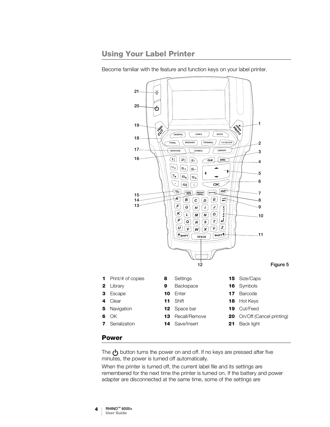# <span id="page-7-0"></span>Using Your Label Printer



Become familiar with the feature and function keys on your label printer.

<span id="page-7-2"></span><span id="page-7-1"></span>The  $\left\langle \cdot\right\rangle$  button turns the power on and off. If no keys are pressed after five minutes, the power is turned off automatically.

When the printer is turned off, the current label file and its settings are remembered for the next time the printer is turned on. If the battery and power adapter are disconnected at the same time, some of the settings are

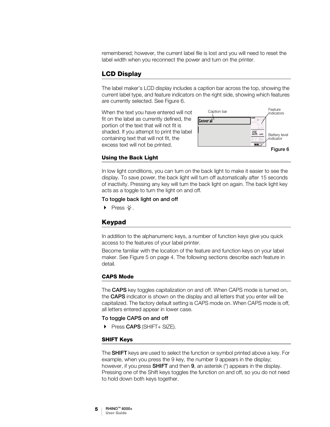remembered; however, the current label file is lost and you will need to reset the label width when you reconnect the power and turn on the printer.

### <span id="page-8-0"></span>LCD Display

The label maker's LCD display includes a caption bar across the top, showing the current label type, and feature indicators on the right side, showing which features are currently selected. See [Figure 6.](#page-8-2)

When the text you have entered will not fit on the label as currently defined, the portion of the text that will not fit is shaded. If you attempt to print the label containing text that will not fit, the excess text will not be printed.

<span id="page-8-2"></span>

### <span id="page-8-3"></span>Using the Back Light

In low light conditions, you can turn on the back light to make it easier to see the display. To save power, the back light will turn off automatically after 15 seconds of inactivity. Pressing any key will turn the back light on again. The back light key acts as a toggle to turn the light on and off.

### To toggle back light on and off

 $\triangleright$  Press  $\cdot \nightharpoonup$  .

### <span id="page-8-1"></span>Keypad

In addition to the alphanumeric keys, a number of function keys give you quick access to the features of your label printer.

Become familiar with the location of the feature and function keys on your label maker. See Figure [5 on page](#page-7-2) 4. The following sections describe each feature in detail.

### CAPS Mode

The **CAPS** key toggles capitalization on and off. When CAPS mode is turned on, the CAPS indicator is shown on the display and all letters that you enter will be capitalized. The factory default setting is CAPS mode on. When CAPS mode is off, all letters entered appear in lower case.

#### To toggle CAPS on and off

Press CAPS (SHIFT+ SIZE).

### SHIFT Keys

The **SHIFT** keys are used to select the function or symbol printed above a key. For example, when you press the 9 key, the number 9 appears in the display; however, if you press **SHIFT** and then **9**, an asterisk (\*) appears in the display. Pressing one of the Shift keys toggles the function on and off, so you do not need to hold down both keys together.

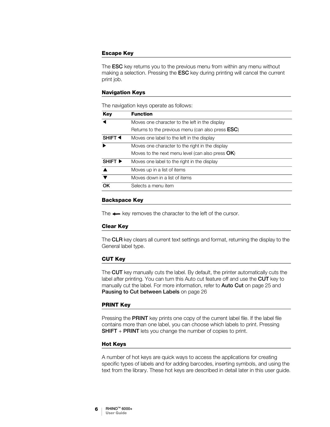### Escape Key

The **ESC** key returns you to the previous menu from within any menu without making a selection. Pressing the ESC key during printing will cancel the current print job.

#### Navigation Keys

The navigation keys operate as follows:

| <b>Key</b>                  | <b>Function</b>                                           |
|-----------------------------|-----------------------------------------------------------|
|                             | Moves one character to the left in the display            |
|                             | Returns to the previous menu (can also press <b>ESC</b> ) |
| SHIFT <sup>4</sup>          | Moves one label to the left in the display                |
|                             | Moves one character to the right in the display           |
|                             | Moves to the next menu level (can also press $OK$ )       |
| SHIFT $\blacktriangleright$ | Moves one label to the right in the display               |
|                             | Moves up in a list of items                               |
|                             | Moves down in a list of items                             |
| OK                          | Selects a menu item                                       |

### Backspace Key

The  $\leftarrow$  key removes the character to the left of the cursor.

#### Clear Key

The CLR key clears all current text settings and format, returning the display to the General label type.

#### CUT Key

The CUT key manually cuts the label. By default, the printer automatically cuts the label after printing. You can turn this Auto cut feature off and use the **CUT** key to manually cut the label. For more information, refer to **Auto Cut** [on page 25](#page-28-4) and [Pausing to Cut between Labels](#page-29-3) on page 26

#### PRINT Key

Pressing the PRINT key prints one copy of the current label file. If the label file contains more than one label, you can choose which labels to print. Pressing **SHIFT** + PRINT lets you change the number of copies to print.

#### Hot Keys

A number of hot keys are quick ways to access the applications for creating specific types of labels and for adding barcodes, inserting symbols, and using the text from the library. These hot keys are described in detail later in this user guide.

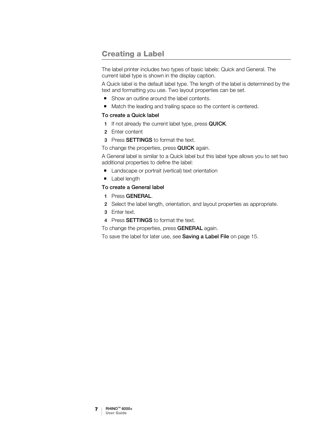# <span id="page-10-1"></span><span id="page-10-0"></span>Creating a Label

The label printer includes two types of basic labels: Quick and General. The current label type is shown in the display caption.

A Quick label is the default label type. The length of the label is determined by the text and formatting you use. Two layout properties can be set.

- Show an outline around the label contents.
- Match the leading and trailing space so the content is centered.

### To create a Quick label

- 1 If not already the current label type, press QUICK.
- 2 Enter content
- 3 Press SETTINGS to format the text.
- To change the properties, press QUICK again.

A General label is similar to a Quick label but this label type allows you to set two additional properties to define the label:

- Landscape or portrait (vertical) text orientation
- **Label length**

### To create a General label

- 1 Press GENERAL.
- 2 Select the label length, orientation, and layout properties as appropriate.
- 3 Enter text.
- 4 Press **SETTINGS** to format the text.

To change the properties, press **GENERAL** again.

To save the label for later use, see [Saving a Label File](#page-18-3) on page 15.

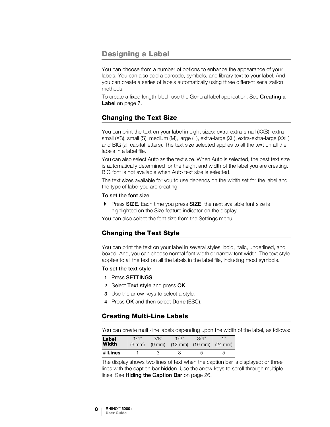### <span id="page-11-4"></span><span id="page-11-0"></span>Designing a Label

You can choose from a number of options to enhance the appearance of your labels. You can also add a barcode, symbols, and library text to your label. And, you can create a series of labels automatically using three different serialization methods.

To create a fixed length label, use the General label application. See[Creating a](#page-10-1)  Label [on page 7.](#page-10-1)

### <span id="page-11-1"></span>Changing the Text Size

You can print the text on your label in eight sizes: extra-extra-small (XXS), extrasmall (XS), small (S), medium (M), large (L), extra-large (XL), extra-extra-large (XXL) and BIG (all capital letters). The text size selected applies to all the text on all the labels in a label file.

You can also select Auto as the text size. When Auto is selected, the best text size is automatically determined for the height and width of the label you are creating. BIG font is not available when Auto text size is selected.

The text sizes available for you to use depends on the width set for the label and the type of label you are creating.

### To set the font size

Press SIZE. Each time you press SIZE, the next available font size is highlighted on the Size feature indicator on the display.

You can also select the font size from the Settings menu.

### <span id="page-11-2"></span>Changing the Text Style

You can print the text on your label in several styles: bold, italic, underlined, and boxed. And, you can choose normal font width or narrow font width. The text style applies to all the text on all the labels in the label file, including most symbols.

### To set the text style

- 1 Press SETTINGS.
- 2 Select Text style and press OK.
- 3 Use the arrow keys to select a style.
- 4 Press OK and then select Done (ESC).

### <span id="page-11-3"></span>Creating Multi-Line Labels

You can create multi-line labels depending upon the width of the label, as follows:

| Label<br><b>Width</b> | 1/4"<br>$(6 \text{ mm})$ | 3/8"<br>$(9 \text{ mm})$ | 1/2"<br>$(12 \text{ mm})$ $(19 \text{ mm})$ $(24 \text{ mm})$ | 3/4" | -1 " |
|-----------------------|--------------------------|--------------------------|---------------------------------------------------------------|------|------|
| # Lines               |                          | ₽                        |                                                               | 5.   |      |

The display shows two lines of text when the caption bar is displayed; or three lines with the caption bar hidden. Use the arrow keys to scroll through multiple lines. See **[Hiding the Caption Bar](#page-29-4)** on page 26.

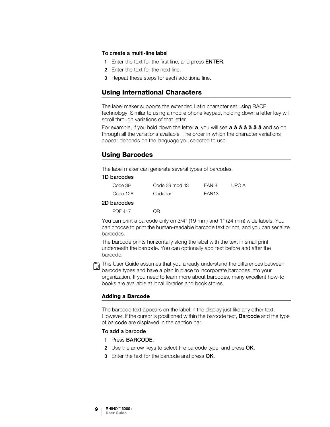#### To create a multi-line label

- 1 Enter the text for the first line, and press **ENTER**.
- 2 Enter the text for the next line.
- 3 Repeat these steps for each additional line.

### <span id="page-12-0"></span>Using International Characters

The label maker supports the extended Latin character set using RACE technology. Similar to using a mobile phone keypad, holding down a letter key will scroll through variations of that letter.

For example, if you hold down the letter **a**, you will see **a à á â ã ä å** and so on through all the variations available. The order in which the character variations appear depends on the language you selected to use.

### <span id="page-12-1"></span>Using Barcodes

The label maker can generate several types of barcodes.

### 1D barcodes

| Code 39  | Code 39 mod 43 | FAN 8             | UPC A |
|----------|----------------|-------------------|-------|
| Code 128 | Codabar        | EAN <sub>13</sub> |       |

#### 2D barcodes

PDF 417 QR

You can print a barcode only on 3/4" (19 mm) and 1" (24 mm) wide labels. You can choose to print the human-readable barcode text or not, and you can serialize barcodes.

The barcode prints horizontally along the label with the text in small print underneath the barcode. You can optionally add text before and after the barcode.



This User Guide assumes that you already understand the differences between barcode types and have a plan in place to incorporate barcodes into your organization. If you need to learn more about barcodes, many excellent how-to books are available at local libraries and book stores.

### Adding a Barcode

The barcode text appears on the label in the display just like any other text. However, if the cursor is positioned within the barcode text, **Barcode** and the type of barcode are displayed in the caption bar.

#### To add a barcode

- 1 Press BARCODE.
- 2 Use the arrow keys to select the barcode type, and press OK.
- 3 Enter the text for the barcode and press OK.

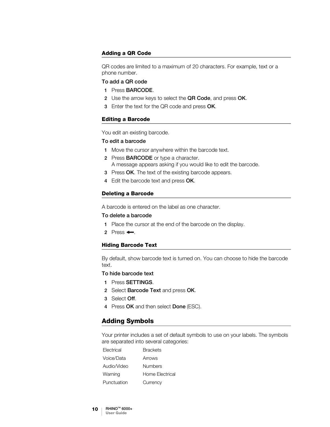### Adding a QR Code

QR codes are limited to a maximum of 20 characters. For example, text or a phone number.

#### To add a QR code

- 1 Press BARCODE.
- 2 Use the arrow keys to select the QR Code, and press OK.
- 3 Enter the text for the QR code and press OK.

#### Editing a Barcode

You edit an existing barcode.

### To edit a barcode

- 1 Move the cursor anywhere within the barcode text.
- 2 Press BARCODE or type a character. A message appears asking if you would like to edit the barcode.
- 3 Press OK. The text of the existing barcode appears.
- 4 Edit the barcode text and press OK.

#### Deleting a Barcode

A barcode is entered on the label as one character.

#### To delete a barcode

- 1 Place the cursor at the end of the barcode on the display.
- 2 Press  $\leftarrow$ .

#### Hiding Barcode Text

By default, show barcode text is turned on. You can choose to hide the barcode text.

#### To hide barcode text

- 1 Press SETTINGS.
- 2 Select Barcode Text and press OK.
- 3 Select Off.
- 4 Press OK and then select Done (ESC).

### <span id="page-13-0"></span>Adding Symbols

Your printer includes a set of default symbols to use on your labels. The symbols are separated into several categories:

| Electrical  | <b>Brackets</b> |
|-------------|-----------------|
| Voice/Data  | Arrows          |
| Audio/Video | Numbers         |
| Warning     | Home Electrical |
| Punctuation | Currency        |

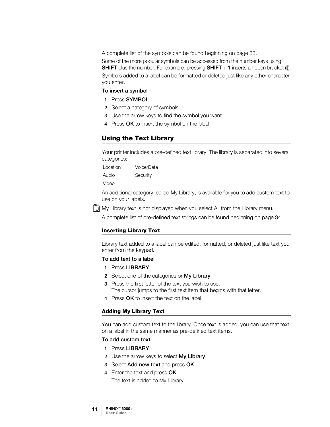A complete list of the symbols can be found beginning on [page](#page-36-1) 33.

Some of the more popular symbols can be accessed from the number keys using **SHIFT** plus the number. For example, pressing **SHIFT** + 1 inserts an open bracket ( $[$ ). Symbols added to a label can be formatted or deleted just like any other character you enter.

### To insert a symbol

- 1 Press SYMBOL.
- 2 Select a category of symbols.
- 3 Use the arrow keys to find the symbol you want.
- 4 Press OK to insert the symbol on the label.

### <span id="page-14-0"></span>Using the Text Library

Your printer includes a pre-defined text library. The library is separated into several categories:

Location Voice/Data Audio Security

Video

An additional category, called My Library, is available for you to add custom text to use on your labels.

My Library text is not displayed when you select All from the Library menu.

A complete list of pre-defined text strings can be found beginning on [page](#page-37-1) 34.

### Inserting Library Text

Library text added to a label can be edited, formatted, or deleted just like text you enter from the keypad.

#### To add text to a label

- 1 Press LIBRARY.
- 2 Select one of the categories or My Library.
- 3 Press the first letter of the text you wish to use. The cursor jumps to the first text item that begins with that letter.
- 4 Press OK to insert the text on the label.

#### Adding My Library Text

You can add custom text to the library. Once text is added, you can use that text on a label in the same manner as pre-defined text items.

#### To add custom text

- 1 Press LIBRARY.
- 2 Use the arrow keys to select My Library.
- 3 Select Add new text and press OK.
- 4 Enter the text and press OK.

The text is added to My Library.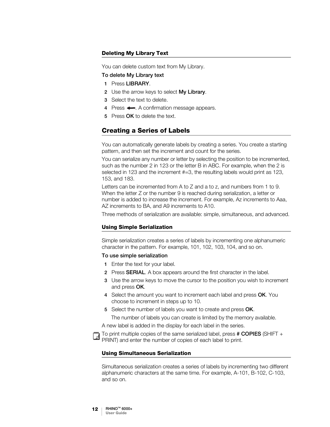### Deleting My Library Text

You can delete custom text from My Library.

### To delete My Library text

- 1 Press LIBRARY.
- 2 Use the arrow keys to select My Library.
- 3 Select the text to delete.
- 4 Press  $\leftarrow$ . A confirmation message appears.
- 5 Press OK to delete the text.

### <span id="page-15-1"></span><span id="page-15-0"></span>Creating a Series of Labels

You can automatically generate labels by creating a series. You create a starting pattern, and then set the increment and count for the series.

You can serialize any number or letter by selecting the position to be incremented, such as the number 2 in 123 or the letter B in ABC. For example, when the 2 is selected in 123 and the increment #=3, the resulting labels would print as 123, 153, and 183.

Letters can be incremented from A to Z and a to z, and numbers from 1 to 9. When the letter Z or the number 9 is reached during serialization, a letter or number is added to increase the increment. For example, Az increments to Aaa, AZ increments to BA, and A9 increments to A10.

Three methods of serialization are available: simple, simultaneous, and advanced.

#### Using Simple Serialization

Simple serialization creates a series of labels by incrementing one alphanumeric character in the pattern. For example, 101, 102, 103, 104, and so on.

#### To use simple serialization

- 1 Enter the text for your label.
- 2 Press SERIAL. A box appears around the first character in the label.
- 3 Use the arrow keys to move the cursor to the position you wish to increment and press OK.
- 4 Select the amount you want to increment each label and press OK. You choose to increment in steps up to 10.
- 5 Select the number of labels you want to create and press OK.

The number of labels you can create is limited by the memory available.

A new label is added in the display for each label in the series.

To print multiple copies of the same serialized label, press # COPIES (SHIFT + PRINT) and enter the number of copies of each label to print.

#### Using Simultaneous Serialization

Simultaneous serialization creates a series of labels by incrementing two different alphanumeric characters at the same time. For example, A-101, B-102, C-103, and so on.

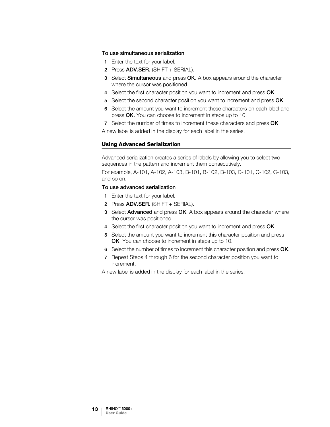#### To use simultaneous serialization

- 1 Enter the text for your label.
- 2 Press ADV.SER. (SHIFT + SERIAL).
- 3 Select Simultaneous and press OK. A box appears around the character where the cursor was positioned.
- 4 Select the first character position you want to increment and press OK.
- 5 Select the second character position you want to increment and press OK.
- 6 Select the amount you want to increment these characters on each label and press OK. You can choose to increment in steps up to 10.
- 7 Select the number of times to increment these characters and press OK.

A new label is added in the display for each label in the series.

### Using Advanced Serialization

Advanced serialization creates a series of labels by allowing you to select two sequences in the pattern and increment them consecutively.

For example, A-101, A-102, A-103, B-101, B-102, B-103, C-101, C-102, C-103, and so on.

### To use advanced serialization

- 1 Enter the text for your label.
- 2 Press ADV.SER. (SHIFT + SERIAL).
- 3 Select Advanced and press OK. A box appears around the character where the cursor was positioned.
- 4 Select the first character position you want to increment and press OK.
- 5 Select the amount you want to increment this character position and press OK. You can choose to increment in steps up to 10.
- 6 Select the number of times to increment this character position and press OK.
- 7 Repeat Steps 4 through 6 for the second character position you want to increment.

A new label is added in the display for each label in the series.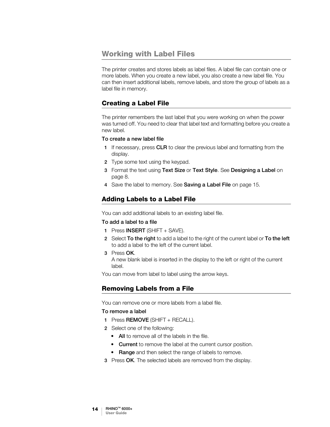### <span id="page-17-0"></span>Working with Label Files

The printer creates and stores labels as label files. A label file can contain one or more labels. When you create a new label, you also create a new label file. You can then insert additional labels, remove labels, and store the group of labels as a label file in memory.

### <span id="page-17-1"></span>Creating a Label File

The printer remembers the last label that you were working on when the power was turned off. You need to clear that label text and formatting before you create a new label.

### To create a new label file

- 1 If necessary, press CLR to clear the previous label and formatting from the display.
- 2 Type some text using the keypad.
- 3 Format the text using Text Size or Text Style. See [Designing a Label](#page-11-4) on [page 8.](#page-11-4)
- 4 Save the label to memory. See [Saving a Label File](#page-18-1) on page 15.

### <span id="page-17-2"></span>Adding Labels to a Label File

You can add additional labels to an existing label file.

### To add a label to a file

- 1 Press **INSERT** (SHIFT + SAVE).
- 2 Select To the right to add a label to the right of the current label or To the left to add a label to the left of the current label.
- 3 Press OK. A new blank label is inserted in the display to the left or right of the current label.

You can move from label to label using the arrow keys.

### <span id="page-17-3"></span>Removing Labels from a File

You can remove one or more labels from a label file.

### To remove a label

- 1 Press REMOVE (SHIFT + RECALL).
- 2 Select one of the following:
	- All to remove all of the labels in the file.
	- Current to remove the label at the current cursor position.
	- Range and then select the range of labels to remove.
- 3 Press OK. The selected labels are removed from the display.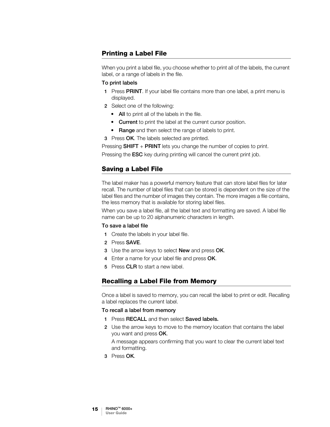### <span id="page-18-0"></span>Printing a Label File

When you print a label file, you choose whether to print all of the labels, the current label, or a range of labels in the file.

### To print labels

- 1 Press PRINT. If your label file contains more than one label, a print menu is displayed.
- 2 Select one of the following:
	- All to print all of the labels in the file.
	- Current to print the label at the current cursor position.
	- Range and then select the range of labels to print.

**3** Press OK. The labels selected are printed.

Pressing **SHIFT** + **PRINT** lets you change the number of copies to print.

Pressing the **ESC** key during printing will cancel the current print job.

### <span id="page-18-3"></span><span id="page-18-1"></span>Saving a Label File

The label maker has a powerful memory feature that can store label files for later recall. The number of label files that can be stored is dependent on the size of the label files and the number of images they contain. The more images a file contains, the less memory that is available for storing label files.

When you save a label file, all the label text and formatting are saved. A label file name can be up to 20 alphanumeric characters in length.

### To save a label file

- 1 Create the labels in your label file.
- 2 Press SAVE.
- 3 Use the arrow keys to select **New** and press OK.
- 4 Enter a name for your label file and press OK.
- 5 Press CLR to start a new label.

### <span id="page-18-2"></span>Recalling a Label File from Memory

Once a label is saved to memory, you can recall the label to print or edit. Recalling a label replaces the current label.

### To recall a label from memory

- 1 Press RECALL and then select Saved labels.
- 2 Use the arrow keys to move to the memory location that contains the label you want and press OK.

A message appears confirming that you want to clear the current label text and formatting.

3 Press OK.

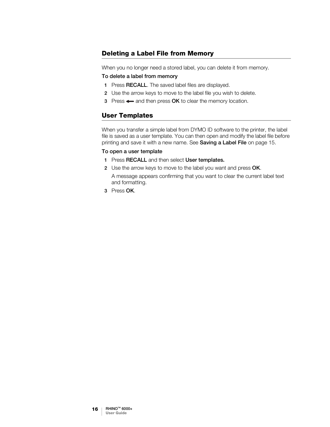### <span id="page-19-0"></span>Deleting a Label File from Memory

When you no longer need a stored label, you can delete it from memory.

#### To delete a label from memory

- 1 Press RECALL. The saved label files are displayed.
- 2 Use the arrow keys to move to the label file you wish to delete.
- 3 Press  $\leftarrow$  and then press OK to clear the memory location.

### <span id="page-19-2"></span><span id="page-19-1"></span>User Templates

When you transfer a simple label from DYMO ID software to the printer, the label file is saved as a user template. You can then open and modify the label file before printing and save it with a new name. See [Saving a Label File](#page-18-1) on page 15.

### To open a user template

- 1 Press RECALL and then select User templates.
- 2 Use the arrow keys to move to the label you want and press OK. A message appears confirming that you want to clear the current label text and formatting.
- 3 Press OK.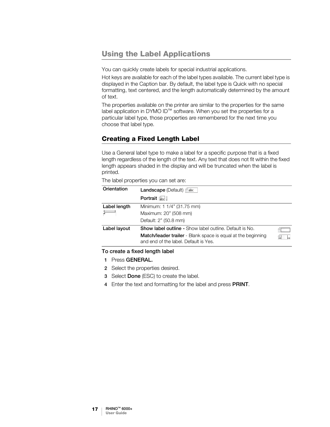# <span id="page-20-0"></span>Using the Label Applications

You can quickly create labels for special industrial applications.

Hot keys are available for each of the label types available. The current label type is displayed in the Caption bar. By default, the label type is Quick with no special formatting, text centered, and the length automatically determined by the amount of text.

The properties available on the printer are similar to the properties for the same label application in DYMO ID™ software. When you set the properties for a particular label type, those properties are remembered for the next time you choose that label type.

### <span id="page-20-1"></span>Creating a Fixed Length Label

Use a General label type to make a label for a specific purpose that is a fixed length regardless of the length of the text. Any text that does not fit within the fixed length appears shaded in the display and will be truncated when the label is printed.

The label properties you can set are:

| Orientation  | <b>Landscape</b> (Default) $\int$ abc                                                                 |
|--------------|-------------------------------------------------------------------------------------------------------|
|              | Portrait $\left  \frac{1}{abc} \right $ .                                                             |
| Label length | Minimum: 1 1/4" (31.75 mm)                                                                            |
|              | Maximum: 20" (508 mm)                                                                                 |
|              | Default: 2" (50.8 mm)                                                                                 |
| Label layout | <b>Show label outline -</b> Show label outline. Default is No.                                        |
|              | Match/leader trailer - Blank space is equal at the beginning<br>and end of the label. Default is Yes. |

### To create a fixed length label

- 1 Press GENERAL.
- 2 Select the properties desired.
- 3 Select Done (ESC) to create the label.
- 4 Enter the text and formatting for the label and press PRINT.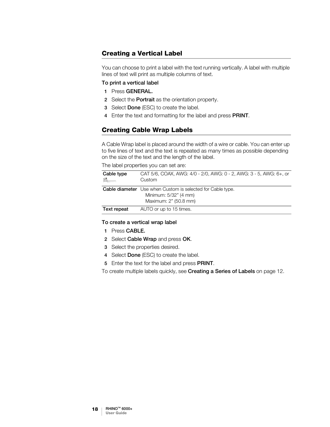### <span id="page-21-0"></span>Creating a Vertical Label

You can choose to print a label with the text running vertically. A label with multiple lines of text will print as multiple columns of text.

### To print a vertical label

- 1 Press GENERAL.
- 2 Select the **Portrait** as the orientation property.
- 3 Select Done (ESC) to create the label.
- 4 Enter the text and formatting for the label and press PRINT.

### <span id="page-21-1"></span>Creating Cable Wrap Labels

A Cable Wrap label is placed around the width of a wire or cable. You can enter up to five lines of text and the text is repeated as many times as possible depending on the size of the text and the length of the label.

The label properties you can set are:

| Cable type<br>$\varepsilon$ | CAT 5/6, COAX, AWG: 4/0 - 2/0, AWG: 0 - 2, AWG: 3 - 5, AWG: 6+, or<br>Custom                                        |
|-----------------------------|---------------------------------------------------------------------------------------------------------------------|
|                             | <b>Cable diameter</b> Use when Custom is selected for Cable type.<br>Minimum: 5/32" (4 mm)<br>Maximum: 2" (50.8 mm) |
| Text repeat                 | AUTO or up to 15 times.                                                                                             |

### To create a vertical wrap label

- 1 Press CABLE.
- 2 Select Cable Wrap and press OK.
- 3 Select the properties desired.
- 4 Select Done (ESC) to create the label.
- 5 Enter the text for the label and press PRINT.

To create multiple labels quickly, see [Creating a Series of Labels](#page-15-1) on page 12.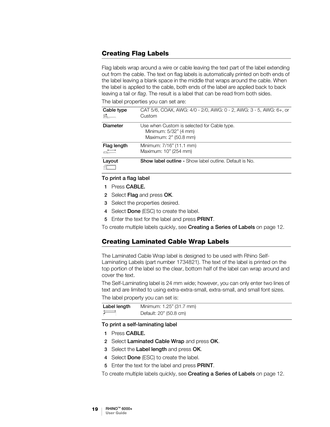### <span id="page-22-0"></span>Creating Flag Labels

Flag labels wrap around a wire or cable leaving the text part of the label extending out from the cable. The text on flag labels is automatically printed on both ends of the label leaving a blank space in the middle that wraps around the cable. When the label is applied to the cable, both ends of the label are applied back to back leaving a tail or *flag*. The result is a label that can be read from both sides.

The label properties you can set are:

| Cable type                          | CAT 5/6, COAX, AWG: 4/0 - 2/0, AWG: 0 - 2, AWG: 3 - 5, AWG: 6+, or<br>Custom                  |
|-------------------------------------|-----------------------------------------------------------------------------------------------|
| <b>Diameter</b>                     | Use when Custom is selected for Cable type.<br>Minimum: 5/32" (4 mm)<br>Maximum: 2" (50.8 mm) |
| Flag length<br>$\overrightarrow{ }$ | Minimum: 7/16" (11.1 mm)<br>Maximum: 10" (254 mm)                                             |
| Layout                              | <b>Show label outline - Show label outline. Default is No.</b>                                |

### To print a flag label

- 1 Press CABLE.
- 2 Select Flag and press OK.
- 3 Select the properties desired.
- 4 Select Done (ESC) to create the label.
- 5 Enter the text for the label and press PRINT.

To create multiple labels quickly, see **[Creating a Series of Labels](#page-15-1)** on page 12.

### <span id="page-22-1"></span>Creating Laminated Cable Wrap Labels

The Laminated Cable Wrap label is designed to be used with Rhino Self-Laminating Labels (part number 1734821). The text of the label is printed on the top portion of the label so the clear, bottom half of the label can wrap around and cover the text.

The Self-Laminating label is 24 mm wide; however, you can only enter two lines of text and are limited to using extra-extra-small, extra-small, and small font sizes.

The label property you can set is:

| Label length         | Minimum: 1.25" (31.7 mm) |
|----------------------|--------------------------|
| $\overrightarrow{a}$ | Default: 20" (50.8 cm)   |

### To print a self-laminating label

- 1 Press CABLE.
- 2 Select Laminated Cable Wrap and press OK.
- 3 Select the Label length and press OK.
- 4 Select Done (ESC) to create the label.
- 5 Enter the text for the label and press **PRINT**.
- To create multiple labels quickly, see [Creating a Series of Labels](#page-15-1) on page 12.

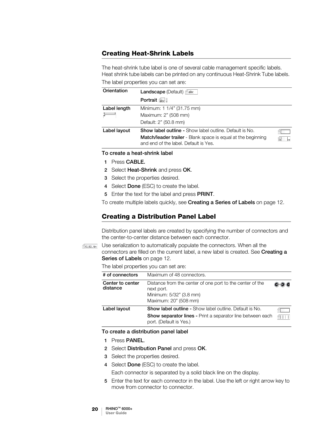### <span id="page-23-0"></span>Creating Heat-Shrink Labels

The heat-shrink tube label is one of several cable management specific labels. Heat shrink tube labels can be printed on any continuous Heat-Shrink Tube labels. The label properties you can set are:

| Orientation  | <b>Landscape</b> (Default) $\beta$ abc                                                                |   |
|--------------|-------------------------------------------------------------------------------------------------------|---|
|              | Portrait abc L                                                                                        |   |
| Label length | Minimum: 1 1/4" (31.75 mm)                                                                            |   |
|              | Maximum: 2" (508 mm)                                                                                  |   |
|              | Default: 2" (50.8 mm)                                                                                 |   |
| Label layout | <b>Show label outline -</b> Show label outline. Default is No.                                        |   |
|              | Match/leader trailer - Blank space is equal at the beginning<br>and end of the label. Default is Yes. | ₩ |

To create a heat-shrink label

- 1 Press CABLE.
- 2 Select Heat-Shrink and press OK.
- 3 Select the properties desired.
- 4 Select Done (ESC) to create the label.
- 5 Enter the text for the label and press PRINT.

To create multiple labels quickly, see [Creating a Series of Labels](#page-15-1) on page 12.

### <span id="page-23-1"></span>Creating a Distribution Panel Label

Distribution panel labels are created by specifying the number of connectors and the center-to-center distance between each connector.

**FAI,B2..Nn** Use serialization to automatically populate the connectors. When all the connectors are filled on the current label, a new label is created. See Creating a [Series of Labels](#page-15-1) on page 12.

The label properties you can set are:

| # of connectors              | Maximum of 48 connectors.                                                                                                                                      |        |
|------------------------------|----------------------------------------------------------------------------------------------------------------------------------------------------------------|--------|
| Center to center<br>distance | Distance from the center of one port to the center of the<br>next port.<br>Minimum: 5/32" (3.8 mm)<br>Maximum: 20" (508 mm)                                    |        |
| Label layout                 | <b>Show label outline - Show label outline. Default is No.</b><br><b>Show separator lines - Print a separator line between each</b><br>port. (Default is Yes.) | AH I I |

#### To create a distribution panel label

- 1 Press PANEL.
- 2 Select Distribution Panel and press OK.
- 3 Select the properties desired.
- 4 Select Done (ESC) to create the label.
	- Each connector is separated by a solid black line on the display.
- 5 Enter the text for each connector in the label. Use the left or right arrow key to move from connector to connector.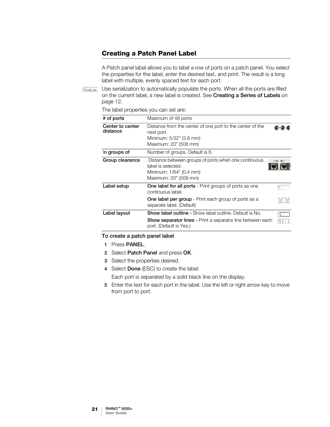### <span id="page-24-0"></span>Creating a Patch Panel Label

A Patch panel label allows you to label a row of ports on a patch panel. You select the properties for the label, enter the desired text, and print. The result is a long label with multiple, evenly spaced text for each port.

 $\frac{1}{2}$ A1,B2..Nn Use serialization to automatically populate the ports. When all the ports are filled on the current label, a new label is created. See [Creating a Series of Labels](#page-15-1) on [page 12.](#page-15-1)

The label properties you can set are:

| # of ports                   | Maximum of 48 ports                                                                                                            |  |
|------------------------------|--------------------------------------------------------------------------------------------------------------------------------|--|
| Center to center<br>distance | Distance from the center of one port to the center of the<br>next port.<br>Minimum: 5/32" (3.8 mm)<br>Maximum: 20" (508 mm)    |  |
| In groups of                 | Number of groups. Default is 6.                                                                                                |  |
| Group clearance              | Distance between groups of ports when one continuous<br>label is selected.<br>Minimum: 1/64" (0.4 mm)<br>Maximum: 20" (508 mm) |  |
| Label setup                  | One label for all ports - Print groups of ports as one<br>continuous label.                                                    |  |
|                              | <b>One label per group</b> - Print each group of ports as a<br>separate label. (Default)                                       |  |
| Label layout                 | <b>Show label outline -</b> Show label outline. Default is No.                                                                 |  |
|                              | <b>Show separator lines - Print a separator line between each</b><br>port. (Default is Yes.)                                   |  |

#### To create a patch panel label

- 1 Press PANEL.
- 2 Select Patch Panel and press OK.
- 3 Select the properties desired.
- 4 Select Done (ESC) to create the label.

Each port is separated by a solid black line on the display.

5 Enter the text for each port in the label. Use the left or right arrow key to move from port to port.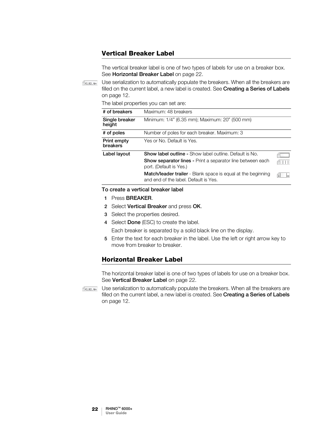### <span id="page-25-0"></span>Vertical Breaker Label

The vertical breaker label is one of two types of labels for use on a breaker box. See [Horizontal Breaker Label](#page-25-1) on page 22.

 $\mathbb{Z}_{A1,B2,Nn}$  Use serialization to automatically populate the breakers. When all the breakers are filled on the current label, a new label is created. See [Creating a Series of Labels](#page-15-1) [on page 12](#page-15-1).

The label properties you can set are:

| # of breakers            | Maximum: 48 breakers                                                                                  |  |
|--------------------------|-------------------------------------------------------------------------------------------------------|--|
| Single breaker<br>height | Minimum: 1/4" (6.35 mm); Maximum: 20" (500 mm)                                                        |  |
| # of poles               | Number of poles for each breaker. Maximum: 3                                                          |  |
| Print empty<br>breakers  | Yes or No. Default is Yes.                                                                            |  |
| Label layout             | <b>Show label outline - Show label outline. Default is No.</b>                                        |  |
|                          | <b>Show separator lines - Print a separator line between each</b><br>port. (Default is Yes.)          |  |
|                          | Match/leader trailer - Blank space is equal at the beginning<br>and end of the label. Default is Yes. |  |

#### To create a vertical breaker label

- 1 Press BREAKER.
- 2 Select Vertical Breaker and press OK.
- 3 Select the properties desired.
- 4 Select Done (ESC) to create the label.
	- Each breaker is separated by a solid black line on the display.
- 5 Enter the text for each breaker in the label. Use the left or right arrow key to move from breaker to breaker.

### <span id="page-25-1"></span>Horizontal Breaker Label

The horizontal breaker label is one of two types of labels for use on a breaker box. See [Vertical Breaker Label](#page-25-0) on page 22.

 $\mathbb{R}_{A,B2,Nn}$  Use serialization to automatically populate the breakers. When all the breakers are filled on the current label, a new label is created. See [Creating a Series of Labels](#page-15-1) [on page 12](#page-15-1).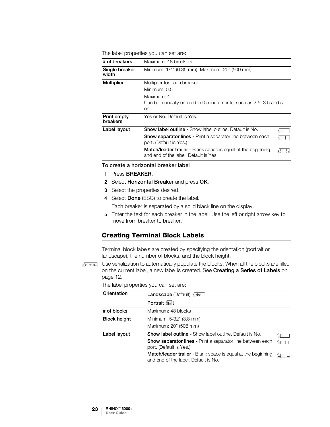The label properties you can set are:

| # of breakers           | Maximum: 48 breakers                                                                                         |  |
|-------------------------|--------------------------------------------------------------------------------------------------------------|--|
| Single breaker<br>width | Minimum: 1/4" (6.35 mm); Maximum: 20" (500 mm)                                                               |  |
| <b>Multiplier</b>       | Multiplier for each breaker.                                                                                 |  |
|                         | Minimum: 0.5                                                                                                 |  |
|                         | Maximum: 4                                                                                                   |  |
|                         | Can be manually entered in 0.5 increments, such as 2.5, 3.5 and so                                           |  |
|                         | on.                                                                                                          |  |
| Print empty<br>breakers | Yes or No. Default is Yes.                                                                                   |  |
| Label layout            | <b>Show label outline - Show label outline. Default is No.</b>                                               |  |
|                         | <b>Show separator lines - Print a separator line between each</b><br>port. (Default is Yes.)                 |  |
|                         | <b>Match/leader trailer</b> - Blank space is equal at the beginning<br>and end of the label. Default is Yes. |  |

#### To create a horizontal breaker label

- 1 Press BREAKER.
- 2 Select Horizontal Breaker and press OK.
- 3 Select the properties desired.
- 4 Select Done (ESC) to create the label.

Each breaker is separated by a solid black line on the display.

5 Enter the text for each breaker in the label. Use the left or right arrow key to move from breaker to breaker.

### <span id="page-26-0"></span>Creating Terminal Block Labels

Terminal block labels are created by specifying the orientation (portrait or landscape), the number of blocks, and the block height.

**AALB2\_Nn** Use serialization to automatically populate the blocks. When all the blocks are filled on the current label, a new label is created. See [Creating a Series of Labels](#page-15-1) on [page 12.](#page-15-1)

The label properties you can set are:

| Orientation         | <b>Landscape</b> (Default) $\beta$ abc                                                                                                                         |    |
|---------------------|----------------------------------------------------------------------------------------------------------------------------------------------------------------|----|
|                     | Portrait abc !                                                                                                                                                 |    |
| # of blocks         | Maximum: 48 blocks                                                                                                                                             |    |
| <b>Block height</b> | Minimum: 5/32" (3.8 mm)<br>Maximum: 20" (508 mm)                                                                                                               |    |
| Label layout        | <b>Show label outline -</b> Show label outline. Default is No.<br><b>Show separator lines - Print a separator line between each</b><br>port. (Default is Yes.) |    |
|                     | Match/leader trailer - Blank space is equal at the beginning<br>and end of the label. Default is No.                                                           | په |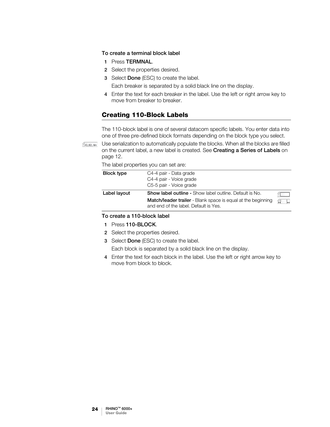### To create a terminal block label

- 1 Press TERMNAL.
- 2 Select the properties desired.
- 3 Select Done (ESC) to create the label.

Each breaker is separated by a solid black line on the display.

4 Enter the text for each breaker in the label. Use the left or right arrow key to move from breaker to breaker.

### <span id="page-27-0"></span>Creating 110-Block Labels

The 110-block label is one of several datacom specific labels. You enter data into one of three pre-defined block formats depending on the block type you select.

Use serialization to automatically populate the blocks. When all the blocks are filled  $A1, B2...$  Nn on the current label, a new label is created. See [Creating a Series of Labels](#page-15-1) on [page 12.](#page-15-1)

The label properties you can set are:

| <b>Block type</b> | C4-4 pair - Data grade<br>C4-4 pair - Voice grade<br>C5-5 pair - Voice grade                                                                                            |    |
|-------------------|-------------------------------------------------------------------------------------------------------------------------------------------------------------------------|----|
| Label layout      | <b>Show label outline - Show label outline. Default is No.</b><br>Match/leader trailer - Blank space is equal at the beginning<br>and end of the label. Default is Yes. | £. |

### To create a 110-block label

- 1 Press 110-BLOCK.
- 2 Select the properties desired.
- 3 Select Done (ESC) to create the label.

Each block is separated by a solid black line on the display.

4 Enter the text for each block in the label. Use the left or right arrow key to move from block to block.

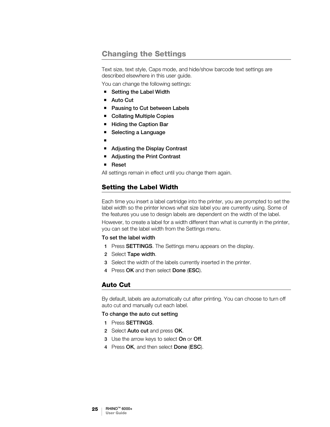# <span id="page-28-0"></span>Changing the Settings

Text size, text style, Caps mode, and hide/show barcode text settings are described elsewhere in this user guide.

You can change the following settings:

- [Setting the Label Width](#page-28-1)
- [Auto Cut](#page-28-2)
- [Pausing to Cut between Labels](#page-29-0)
- [Collating Multiple Copies](#page-29-1)
- **[Hiding the Caption Bar](#page-29-2)**
- [Selecting a Language](#page-30-0)
- ∎
- [Adjusting the Display Contrast](#page-30-1)
- [Adjusting the Print Contrast](#page-30-2)
- [Reset](#page-30-3)

All settings remain in effect until you change them again.

### <span id="page-28-3"></span><span id="page-28-1"></span>Setting the Label Width

Each time you insert a label cartridge into the printer, you are prompted to set the label width so the printer knows what size label you are currently using. Some of the features you use to design labels are dependent on the width of the label.

However, to create a label for a width different than what is currently in the printer, you can set the label width from the Settings menu.

#### To set the label width

- 1 Press SETTINGS. The Settings menu appears on the display.
- 2 Select Tape width.
- 3 Select the width of the labels currently inserted in the printer.
- 4 Press OK and then select Done (ESC).

### <span id="page-28-4"></span><span id="page-28-2"></span>Auto Cut

By default, labels are automatically cut after printing. You can choose to turn off auto cut and manually cut each label.

To change the auto cut setting

- 1 Press SETTINGS.
- 2 Select Auto cut and press OK.
- 3 Use the arrow keys to select On or Off.
- 4 Press OK, and then select Done (ESC).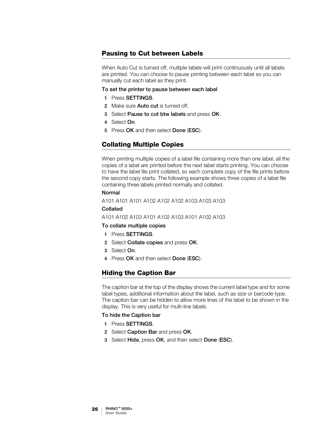### <span id="page-29-3"></span><span id="page-29-0"></span>Pausing to Cut between Labels

When Auto Cut is turned off, multiple labels will print continuously until all labels are printed. You can choose to pause printing between each label so you can manually cut each label as they print.

#### To set the printer to pause between each label

- 1 Press SETTINGS.
- 2 Make sure Auto cut is turned off.
- 3 Select Pause to cut btw labels and press OK.
- 4 Select On.
- 5 Press OK and then select Done (ESC).

### <span id="page-29-1"></span>Collating Multiple Copies

When printing multiple copies of a label file containing more than one label, all the copies of a label are printed before the next label starts printing. You can choose to have the label file print collated, so each complete copy of the file prints before the second copy starts. The following example shows three copies of a label file containing three labels printed normally and collated.

### Normal

A101 A101 A101 A102 A102 A102 A103 A103 A103

### Collated

### A101 A102 A103 A101 A102 A103 A101 A102 A103

#### To collate multiple copies

- 1 Press SETTINGS.
- 2 Select Collate copies and press OK.
- 3 Select On.
- 4 Press OK and then select Done (ESC).

### <span id="page-29-4"></span><span id="page-29-2"></span>Hiding the Caption Bar

The caption bar at the top of the display shows the current label type and for some label types, additional information about the label, such as size or barcode type. The caption bar can be hidden to allow more lines of the label to be shown in the display. This is very useful for multi-line labels.

#### To hide the Caption bar

- 1 Press SETTINGS.
- 2 Select Caption Bar and press OK.
- 3 Select Hide, press OK, and then select Done (ESC).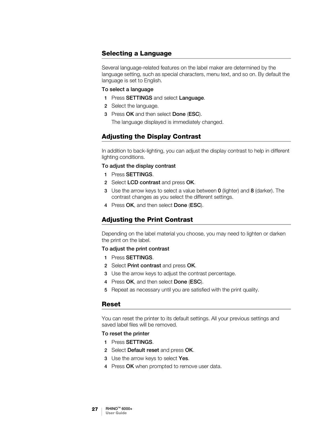### <span id="page-30-0"></span>Selecting a Language

Several language-related features on the label maker are determined by the language setting, such as special characters, menu text, and so on. By default the language is set to English.

#### To select a language

- 1 Press SETTINGS and select Language.
- 2 Select the language.
- 3 Press OK and then select Done (ESC).

The language displayed is immediately changed.

### <span id="page-30-5"></span><span id="page-30-1"></span>Adjusting the Display Contrast

In addition to back-lighting, you can adjust the display contrast to help in different lighting conditions.

### To adjust the display contrast

- 1 Press SETTINGS.
- 2 Select LCD contrast and press OK.
- 3 Use the arrow keys to select a value between 0 (lighter) and 8 (darker). The contrast changes as you select the different settings.
- 4 Press OK, and then select Done (ESC).

### <span id="page-30-4"></span><span id="page-30-2"></span>Adjusting the Print Contrast

Depending on the label material you choose, you may need to lighten or darken the print on the label.

### To adjust the print contrast

- 1 Press SETTINGS.
- 2 Select Print contrast and press OK.
- 3 Use the arrow keys to adjust the contrast percentage.
- 4 Press OK, and then select Done (ESC).
- 5 Repeat as necessary until you are satisfied with the print quality.

### <span id="page-30-3"></span>Reset

You can reset the printer to its default settings. All your previous settings and saved label files will be removed.

### To reset the printer

- 1 Press SETTINGS.
- 2 Select Default reset and press OK.
- 3 Use the arrow keys to select Yes.
- 4 Press OK when prompted to remove user data.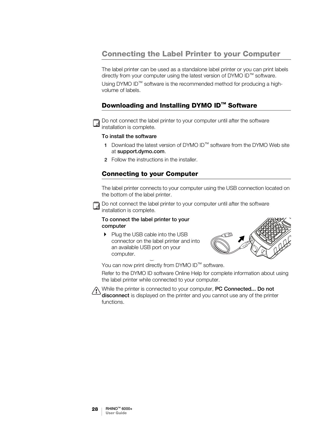# <span id="page-31-0"></span>Connecting the Label Printer to your Computer

The label printer can be used as a standalone label printer or you can print labels directly from your computer using the latest version of DYMO ID™ software. Using DYMO ID<sup>™</sup> software is the recommended method for producing a high-

volume of labels.

### <span id="page-31-1"></span>Downloading and Installing DYMO ID™ Software



Do not connect the label printer to your computer until after the software installation is complete.

### To install the software

- 1 Download the latest version of DYMO ID™ software from the DYMO Web site at support.dymo.com.
- 2 Follow the instructions in the installer.

### <span id="page-31-2"></span>Connecting to your Computer

The label printer connects to your computer using the USB connection located on the bottom of the label printer.



### To connect the label printer to your computer

Plug the USB cable into the USB connector on the label printer and into an available USB port on your computer.

Figure 7



You can now print directly from DYMO ID™ software.

Refer to the DYMO ID software Online Help for complete information about using the label printer while connected to your computer.

While the printer is connected to your computer, **PC Connected... Do not** disconnect is displayed on the printer and you cannot use any of the printer functions.

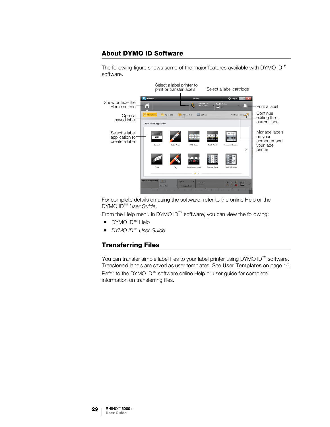### <span id="page-32-0"></span>About DYMO ID Software

The following figure shows some of the major features available with DYMO ID™ software.



For complete details on using the software, refer to the online Help or the DYMO ID<sup>™</sup> User Guide.

From the Help menu in DYMO ID™ software, you can view the following:

- DYMO ID<sup>™</sup> Help
- DYMO ID<sup>™</sup> User Guide

### <span id="page-32-1"></span>Transferring Files

You can transfer simple label files to your label printer using DYMO ID™ software. Transferred labels are saved as user templates. See [User Templates](#page-19-2) on page 16. Refer to the DYMO ID™ software online Help or user guide for complete information on transferring files.

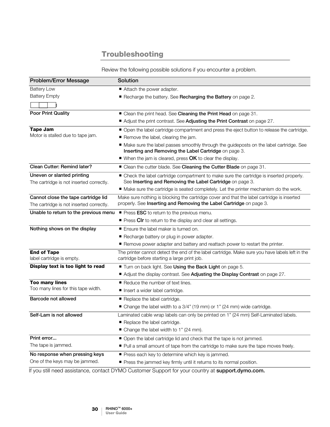# Troubleshooting

Review the following possible solutions if you encounter a problem.

<span id="page-33-0"></span>

| <b>Problem/Error Message</b>                                                    | Solution                                                                                                                                                                                                                                                                                                                                             |
|---------------------------------------------------------------------------------|------------------------------------------------------------------------------------------------------------------------------------------------------------------------------------------------------------------------------------------------------------------------------------------------------------------------------------------------------|
| <b>Battery Low</b><br><b>Battery Empty</b>                                      | Attach the power adapter.<br>Recharge the battery. See Recharging the Battery on page 2.                                                                                                                                                                                                                                                             |
| <b>Poor Print Quality</b>                                                       | ■ Clean the print head. See Cleaning the Print Head on page 31.<br>Adjust the print contrast. See Adjusting the Print Contrast on page 27.                                                                                                                                                                                                           |
| <b>Tape Jam</b><br>Motor is stalled due to tape jam.                            | • Open the label cartridge compartment and press the eject button to release the cartridge.<br>Remove the label, clearing the jam.<br>• Make sure the label passes smoothly through the guideposts on the label cartridge. See<br>Inserting and Removing the Label Cartridge on page 3.<br>■ When the jam is cleared, press OK to clear the display. |
| Clean Cutter: Remind later?                                                     | ■ Clean the cutter blade. See Cleaning the Cutter Blade on page 31.                                                                                                                                                                                                                                                                                  |
| Uneven or slanted printing<br>The cartridge is not inserted correctly.          | • Check the label cartridge compartment to make sure the cartridge is inserted properly.<br>See Inserting and Removing the Label Cartridge on page 3.<br>• Make sure the cartridge is seated completely. Let the printer mechanism do the work.                                                                                                      |
| Cannot close the tape cartridge lid<br>The cartridge is not inserted correctly. | Make sure nothing is blocking the cartridge cover and that the label cartridge is inserted<br>properly. See Inserting and Removing the Label Cartridge on page 3.                                                                                                                                                                                    |
| Unable to return to the previous menu                                           | Press ESC to return to the previous menu.<br>Press Cir to return to the display and clear all settings.                                                                                                                                                                                                                                              |
| Nothing shows on the display<br><b>End of Tape</b>                              | Ensure the label maker is turned on.<br>Recharge battery or plug in power adapter.<br>Remove power adapter and battery and reattach power to restart the printer.<br>The printer cannot detect the end of the label cartridge. Make sure you have labels left in the                                                                                 |
| label cartridge is empty.                                                       | cartridge before starting a large print job.                                                                                                                                                                                                                                                                                                         |
| Display text is too light to read                                               | Turn on back light. See Using the Back Light on page 5.<br>Adjust the display contrast. See Adjusting the Display Contrast on page 27.                                                                                                                                                                                                               |
| <b>Too many lines</b><br>Too many lines for this tape width.                    | Reduce the number of text lines.<br>Insert a wider label cartridge.                                                                                                                                                                                                                                                                                  |
| Barcode not allowed                                                             | Replace the label cartridge.<br>■ Change the label width to a 3/4" (19 mm) or 1" (24 mm) wide cartridge.                                                                                                                                                                                                                                             |
| Self-Lam is not allowed                                                         | Laminated cable wrap labels can only be printed on 1" (24 mm) Self-Laminated labels.<br>Replace the label cartridge.<br>■ Change the label width to 1" (24 mm).                                                                                                                                                                                      |
| Print error<br>The tape is jammed.                                              | ■ Open the label cartridge lid and check that the tape is not jammed.<br>Pull a small amount of tape from the cartridge to make sure the tape moves freely.                                                                                                                                                                                          |
| No response when pressing keys<br>One of the keys may be jammed.                | Press each key to determine which key is jammed.<br>Press the jammed key firmly until it returns to its normal position.                                                                                                                                                                                                                             |

If you still need assistance, contact DYMO Customer Support for your country at support.dymo.com.

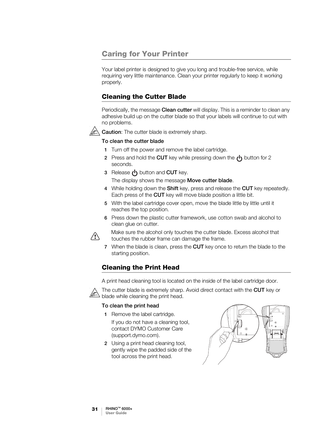# <span id="page-34-0"></span>Caring for Your Printer

Your label printer is designed to give you long and trouble-free service, while requiring very little maintenance. Clean your printer regularly to keep it working properly.

### <span id="page-34-1"></span>Cleaning the Cutter Blade

Periodically, the message Clean cutter will display. This is a reminder to clean any adhesive build up on the cutter blade so that your labels will continue to cut with no problems.



**Caution:** The cutter blade is extremely sharp.

### To clean the cutter blade

- 1 Turn off the power and remove the label cartridge.
- **2** Press and hold the **CUT** key while pressing down the  $\left(\frac{1}{2}\right)$  button for 2 seconds.
- 3 Release  $\binom{1}{3}$  button and CUT key.

The display shows the message Move cutter blade.

- 4 While holding down the Shift key, press and release the CUT key repeatedly. Each press of the CUT key will move blade position a little bit.
- 5 With the label cartridge cover open, move the blade little by little until it reaches the top position.
- 6 Press down the plastic cutter framework, use cotton swab and alcohol to clean glue on cutter.



Make sure the alcohol only touches the cutter blade. Excess alcohol that touches the rubber frame can damage the frame.

7 When the blade is clean, press the CUT key once to return the blade to the starting position.

### <span id="page-34-2"></span>Cleaning the Print Head

A print head cleaning tool is located on the inside of the label cartridge door.



The cutter blade is extremely sharp. Avoid direct contact with the CUT key or blade while cleaning the print head.

### To clean the print head

- 1 Remove the label cartridge.
	- If you do not have a cleaning tool, contact DYMO Customer Care (support.dymo.com).
- 2 Using a print head cleaning tool, gently wipe the padded side of the tool across the print head.

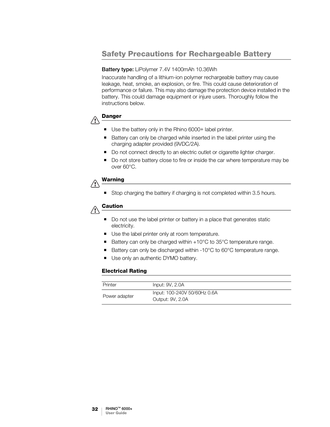# <span id="page-35-1"></span><span id="page-35-0"></span>Safety Precautions for Rechargeable Battery

### Battery type: LiPolymer 7.4V 1400mAh 10.36Wh

Inaccurate handling of a lithium-ion polymer rechargeable battery may cause leakage, heat, smoke, an explosion, or fire. This could cause deterioration of performance or failure. This may also damage the protection device installed in the battery. This could damage equipment or injure users. Thoroughly follow the instructions below.



- Use the battery only in the Rhino 6000+ label printer.
- Battery can only be charged while inserted in the label printer using the charging adapter provided (9VDC/2A).
- Do not connect directly to an electric outlet or cigarette lighter charger.
- Do not store battery close to fire or inside the car where temperature may be over 60°C.

#### Warning  $\bigwedge$

Stop charging the battery if charging is not completed within 3.5 hours.

#### Caution  $\backslash\!\!\backslash$

- Do not use the label printer or battery in a place that generates static electricity.
- Use the label printer only at room temperature.
- Battery can only be charged within  $+10^{\circ}$ C to 35 $^{\circ}$ C temperature range.
- Battery can only be discharged within -10°C to 60°C temperature range.
- Use only an authentic DYMO battery.

### Electrical Rating

| Printer       | Input: 9V, 2.0A                                  |
|---------------|--------------------------------------------------|
| Power adapter | Input: 100-240V 50/60Hz 0.6A<br>Output: 9V, 2.0A |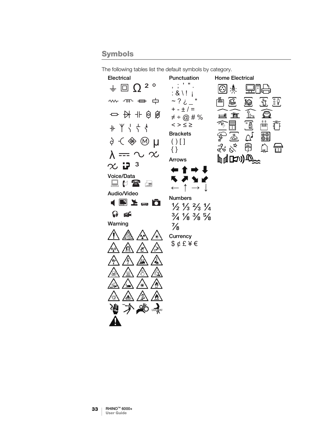# <span id="page-36-1"></span><span id="page-36-0"></span>Symbols

**Electrical** Punctuation Home Electrical ,  $\pm$   $^{\circ}$  "  $\pm$  $\frac{1}{2}$  0  $\Omega$  <sup>2</sup> ° ା⊙ା ·心: 山山 :  $8 \mid$ ! j w m = 中  $~\sim$  ?  $\dot{c}$   $~\sim$ 鼋 凿. ⊜  $+ - \pm 1 =$  $\mathbb{F}$  $\widehat{\boldsymbol{\Xi}}$  $\rightarrow$   $\rightarrow$   $+$   $\odot$   $\odot$ 里 査  $\neq$  ÷ @ # % " কি 固  $\overline{\mathbb{L}}$  $<$   $>$   $\leq$   $\geq$  $+$   $+$   $+$   $+$   $+$ **Brackets** <u>මෙ</u><br>මම ê) μ  $() []$ ૣૼૺઌૺ  $\varphi^\mathrm{p}$ ₩  $\bigcap$ { }  $\lambda = \sim \infty$ ₫₫**ს**⊅)⊕ Arrows  $\infty$   $\mathbf{P}^3$ **60** 1 Voice/Data 黒い谷屋  $\uparrow$  $\leftarrow$  $\rightarrow$ J Audio/Video Numbers  $\blacksquare$   $\blacktriangleright$   $\blacksquare$   $\blacksquare$   $\blacktriangleright$  $\frac{1}{2}$   $\frac{1}{3}$   $\frac{2}{3}$   $\frac{1}{4}$  $\Omega$  of  $\frac{3}{4}$   $\frac{1}{8}$   $\frac{3}{8}$   $\frac{5}{8}$ Warning  $\frac{7}{8}$ **Currency** \$ ¢ £ ¥ € 'n Ł A

ひ

₩

The following tables list the default symbols by category.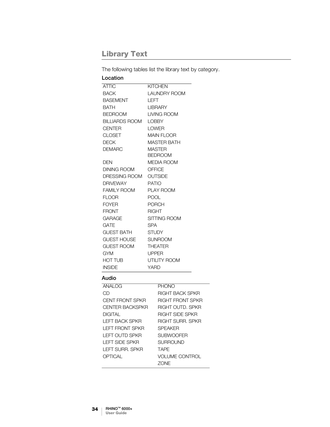# <span id="page-37-1"></span><span id="page-37-0"></span>Library Text

The following tables list the library text by category.

| Location              |                                 |
|-----------------------|---------------------------------|
| <b>ATTIC</b>          | <b>KITCHEN</b>                  |
| <b>BACK</b>           | <b>LAUNDRY ROOM</b>             |
| <b>BASEMENT</b>       | I FFT                           |
| <b>BATH</b>           | <b>I IBRARY</b>                 |
| <b>BEDROOM</b>        | LIVING ROOM                     |
| <b>BILLIARDS ROOM</b> | <b>LOBBY</b>                    |
| <b>CENTER</b>         | <b>I OWFR</b>                   |
| <b>CLOSET</b>         | <b>MAIN FLOOR</b>               |
| <b>DECK</b>           | <b>MASTER BATH</b>              |
| <b>DEMARC</b>         | <b>MASTER</b><br><b>BEDROOM</b> |
| <b>DEN</b>            | <b>MEDIA ROOM</b>               |
| DINING ROOM           | OFFICE                          |
| DRESSING ROOM OUTSIDE |                                 |
| <b>DRIVEWAY</b>       | <b>PATIO</b>                    |
| <b>FAMILY ROOM</b>    | <b>PLAY ROOM</b>                |
| <b>FLOOR</b>          | <b>POOL</b>                     |
| <b>FOYER</b>          | <b>PORCH</b>                    |
| <b>FRONT</b>          | <b>RIGHT</b>                    |
| <b>GARAGE</b>         | <b>SITTING ROOM</b>             |
| <b>GATE</b>           | <b>SPA</b>                      |
| <b>GUEST BATH</b>     | <b>STUDY</b>                    |
| GUEST HOUSE           | SUNROOM                         |
| <b>GUEST ROOM</b>     | <b>THEATER</b>                  |
| <b>GYM</b>            | <b>UPPER</b>                    |
| <b>HOT TUB</b>        | <b>UTILITY ROOM</b>             |
| <b>INSIDE</b>         | YARD                            |

### Audio

| ANAI OG                | PHONO                   |
|------------------------|-------------------------|
| CD                     | RIGHT BACK SPKR         |
| <b>CENT FRONT SPKR</b> | <b>RIGHT FRONT SPKR</b> |
| CENTER BACKSPKR        | <b>RIGHT OUTD. SPKR</b> |
| DIGITAI                | <b>RIGHT SIDE SPKR</b>  |
| I FFT BACK SPKR        | RIGHT SURR, SPKR        |
| <b>LEFT FRONT SPKR</b> | <b>SPEAKER</b>          |
| LEFT OUTD SPKR         | <b>SUBWOOFER</b>        |
| I FFT SIDF SPKR        | <b>SURROUND</b>         |
| I FFT SURR, SPKR       | <b>TAPF</b>             |
| OPTICAL                | <b>VOLUME CONTROL</b>   |
|                        | ZONE                    |

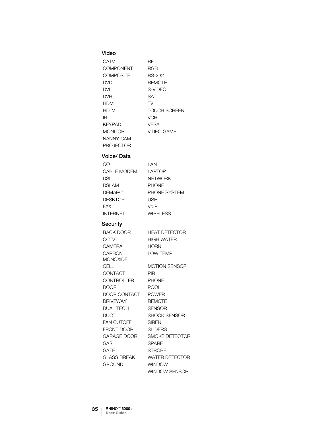### Video

| CATV             | RF            |
|------------------|---------------|
| COMPONENT        | RGB           |
| COMPOSITE        | RS-232        |
| DVD              | <b>REMOTE</b> |
| DVI              | S-VIDEO       |
| DVR              | <b>SAT</b>    |
| <b>HDMI</b>      | TV            |
| <b>HDTV</b>      | TOUCH SCREEN  |
| ΙR               | <b>VCR</b>    |
| <b>KEYPAD</b>    | <b>VESA</b>   |
| <b>MONITOR</b>   | VIDEO GAME    |
| NANNY CAM        |               |
| <b>PROJECTOR</b> |               |
|                  |               |

### Voice/ Data

| M               | I AN            |
|-----------------|-----------------|
| CABLE MODEM     | LAPTOP          |
| DSL             | <b>NETWORK</b>  |
| DSLAM           | <b>PHONE</b>    |
| DEMARC          | PHONE SYSTEM    |
| DESKTOP         | USB             |
| FAX             | VoIP            |
| <b>INTERNET</b> | <b>WIRELESS</b> |

### Security

| <b>BACK DOOR</b>   | <b>HEAT DETECTOR</b>  |
|--------------------|-----------------------|
| CCTV               | <b>HIGH WATER</b>     |
| CAMERA             | <b>HORN</b>           |
| CARBON             | LOW TEMP              |
| MONOXIDE           |                       |
| CELL               | <b>MOTION SENSOR</b>  |
| CONTACT            | PIR                   |
| CONTROLLER         | <b>PHONE</b>          |
| DOOR               | <b>POOL</b>           |
| DOOR CONTACT       | <b>POWER</b>          |
| <b>DRIVEWAY</b>    | <b>REMOTE</b>         |
| <b>DUAL TECH</b>   | <b>SENSOR</b>         |
| DUCT               | <b>SHOCK SENSOR</b>   |
| <b>FAN CUTOFF</b>  | <b>SIRFN</b>          |
| FRONT DOOR         | <b>SLIDERS</b>        |
| GARAGE DOOR        | SMOKE DETECTOR        |
| GAS                | <b>SPARF</b>          |
| GATE               | <b>STROBE</b>         |
| <b>GLASS BREAK</b> | <b>WATER DETECTOR</b> |
| GROUND             | <b>WINDOW</b>         |
|                    | <b>WINDOW SENSOR</b>  |
|                    |                       |